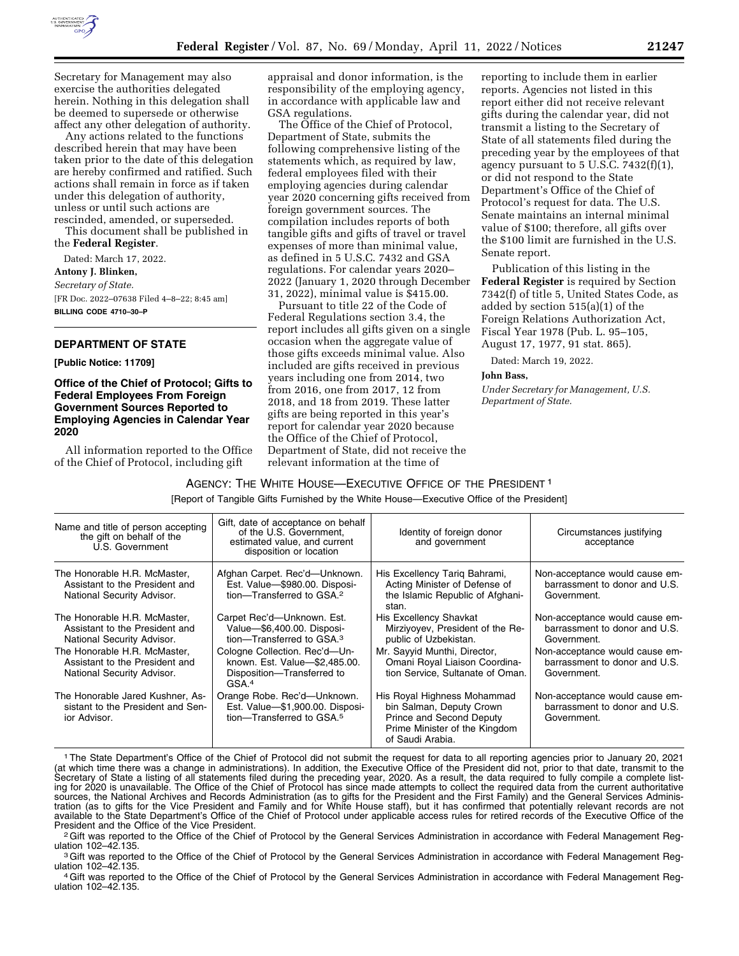

Secretary for Management may also exercise the authorities delegated herein. Nothing in this delegation shall be deemed to supersede or otherwise affect any other delegation of authority.

Any actions related to the functions described herein that may have been taken prior to the date of this delegation are hereby confirmed and ratified. Such actions shall remain in force as if taken under this delegation of authority, unless or until such actions are rescinded, amended, or superseded.

This document shall be published in the **Federal Register**.

Dated: March 17, 2022. **Antony J. Blinken,**  *Secretary of State.*  [FR Doc. 2022–07638 Filed 4–8–22; 8:45 am] **BILLING CODE 4710–30–P** 

#### **DEPARTMENT OF STATE**

**[Public Notice: 11709]** 

#### **Office of the Chief of Protocol; Gifts to Federal Employees From Foreign Government Sources Reported to Employing Agencies in Calendar Year 2020**

All information reported to the Office of the Chief of Protocol, including gift

appraisal and donor information, is the responsibility of the employing agency, in accordance with applicable law and GSA regulations.

The Office of the Chief of Protocol, Department of State, submits the following comprehensive listing of the statements which, as required by law, federal employees filed with their employing agencies during calendar year 2020 concerning gifts received from foreign government sources. The compilation includes reports of both tangible gifts and gifts of travel or travel expenses of more than minimal value, as defined in 5 U.S.C. 7432 and GSA regulations. For calendar years 2020– 2022 (January 1, 2020 through December 31, 2022), minimal value is \$415.00.

Pursuant to title 22 of the Code of Federal Regulations section 3.4, the report includes all gifts given on a single occasion when the aggregate value of those gifts exceeds minimal value. Also included are gifts received in previous years including one from 2014, two from 2016, one from 2017, 12 from 2018, and 18 from 2019. These latter gifts are being reported in this year's report for calendar year 2020 because the Office of the Chief of Protocol, Department of State, did not receive the relevant information at the time of

reporting to include them in earlier reports. Agencies not listed in this report either did not receive relevant gifts during the calendar year, did not transmit a listing to the Secretary of State of all statements filed during the preceding year by the employees of that agency pursuant to  $5$  U.S.C.  $7432(f)(1)$ , or did not respond to the State Department's Office of the Chief of Protocol's request for data. The U.S. Senate maintains an internal minimal value of \$100; therefore, all gifts over the \$100 limit are furnished in the U.S. Senate report.

Publication of this listing in the **Federal Register** is required by Section 7342(f) of title 5, United States Code, as added by section 515(a)(1) of the Foreign Relations Authorization Act, Fiscal Year 1978 (Pub. L. 95–105, August 17, 1977, 91 stat. 865).

Dated: March 19, 2022.

#### **John Bass,**

*Under Secretary for Management, U.S. Department of State.* 

### AGENCY: THE WHITE HOUSE—EXECUTIVE OFFICE OF THE PRESIDENT 1

[Report of Tangible Gifts Furnished by the White House—Executive Office of the President]

| Name and title of person accepting<br>the gift on behalf of the<br>U.S. Government                                                                                                           | Gift, date of acceptance on behalf<br>of the U.S. Government.<br>estimated value, and current<br>disposition or location                                                                                              | Identity of foreign donor<br>and government                                                                                                                                                     | Circumstances justifying<br>acceptance                                                                                                                           |
|----------------------------------------------------------------------------------------------------------------------------------------------------------------------------------------------|-----------------------------------------------------------------------------------------------------------------------------------------------------------------------------------------------------------------------|-------------------------------------------------------------------------------------------------------------------------------------------------------------------------------------------------|------------------------------------------------------------------------------------------------------------------------------------------------------------------|
| The Honorable H.R. McMaster,<br>Assistant to the President and<br>National Security Advisor.                                                                                                 | Afghan Carpet. Rec'd-Unknown.<br>Est. Value-\$980.00. Disposi-<br>tion-Transferred to GSA. <sup>2</sup>                                                                                                               | His Excellency Tarig Bahrami,<br>Acting Minister of Defense of<br>the Islamic Republic of Afghani-<br>stan.                                                                                     | Non-acceptance would cause em-<br>barrassment to donor and U.S.<br>Government.                                                                                   |
| The Honorable H.R. McMaster,<br>Assistant to the President and<br>National Security Advisor.<br>The Honorable H.R. McMaster.<br>Assistant to the President and<br>National Security Advisor. | Carpet Rec'd-Unknown. Est.<br>Value-\$6,400.00. Disposi-<br>tion-Transferred to GSA. <sup>3</sup><br>Cologne Collection. Rec'd-Un-<br>known. Est. Value-\$2,485.00.<br>Disposition-Transferred to<br>GSA <sup>4</sup> | <b>His Excellency Shavkat</b><br>Mirziyovev, President of the Re-<br>public of Uzbekistan.<br>Mr. Sayyid Munthi, Director,<br>Omani Royal Liaison Coordina-<br>tion Service, Sultanate of Oman. | Non-acceptance would cause em-<br>barrassment to donor and U.S.<br>Government.<br>Non-acceptance would cause em-<br>barrassment to donor and U.S.<br>Government. |
| The Honorable Jared Kushner, As-<br>sistant to the President and Sen-<br>ior Advisor.                                                                                                        | Orange Robe. Rec'd-Unknown.<br>Est. Value-\$1,900.00. Disposi-<br>tion-Transferred to GSA. <sup>5</sup>                                                                                                               | His Royal Highness Mohammad<br>bin Salman, Deputy Crown<br>Prince and Second Deputy<br>Prime Minister of the Kingdom<br>of Saudi Arabia.                                                        | Non-acceptance would cause em-<br>barrassment to donor and U.S.<br>Government.                                                                                   |

<sup>1</sup>The State Department's Office of the Chief of Protocol did not submit the request for data to all reporting agencies prior to January 20, 2021 (at which time there was a change in administrations). In addition, the Executive Office of the President did not, prior to that date, transmit to the Secretary of State a listing of all statements filed during the preceding year, 2020. As a result, the data required to fully compile a complete listing for 2020 is unavailable. The Office of the Chief of Protocol has since made attempts to collect the required data from the current authoritative sources, the National Archives and Records Administration (as to gifts for the President and the First Family) and the General Services Administration (as to gifts for the Vice President and Family and for White House staff), but it has confirmed that potentially relevant records are not available to the State Department's Office of the Chief of Protocol under applicable access rules for retired records of the Executive Office of the<br>President and the Office of the Vice President.

<sup>2</sup> Gift was reported to the Office of the Chief of Protocol by the General Services Administration in accordance with Federal Management Reg-

ulation 102–42.135.<br><sup>3</sup>Gift was reported to the Office of the Chief of Protocol by the General Services Administration in accordance with Federal Management Reg-<br>ulation 102–42.135.

<sup>4</sup> Gift was reported to the Office of the Chief of Protocol by the General Services Administration in accordance with Federal Management Regulation 102–42.135.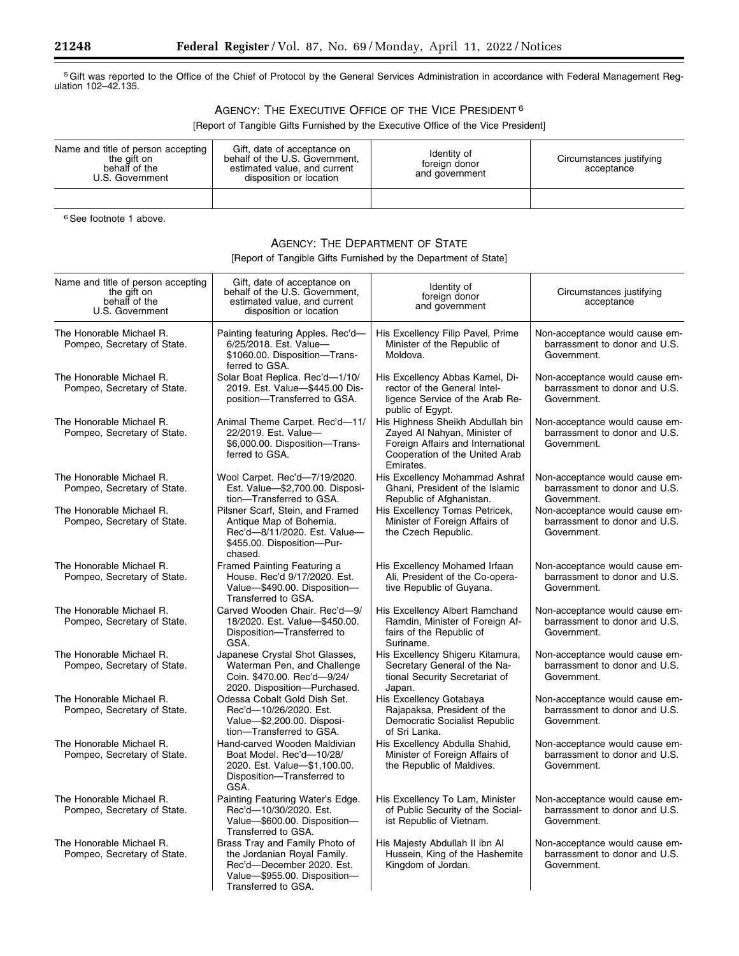5Gift was reported to the Office of the Chief of Protocol by the General Services Administration in accordance with Federal Management Regulation 102–42.135.

# AGENCY: THE EXECUTIVE OFFICE OF THE VICE PRESIDENT 6

[Report of Tangible Gifts Furnished by the Executive Office of the Vice President]

| Name and title of person accepting<br>the gift on<br>behalf of the<br>U.S. Government | Gift, date of acceptance on<br>behalf of the U.S. Government,<br>estimated value, and current<br>disposition or location | Identity of<br>foreign donor<br>and government | Circumstances justifying<br>acceptance |
|---------------------------------------------------------------------------------------|--------------------------------------------------------------------------------------------------------------------------|------------------------------------------------|----------------------------------------|
|                                                                                       |                                                                                                                          |                                                |                                        |

<sup>6</sup> See footnote 1 above.

# AGENCY: THE DEPARTMENT OF STATE

[Report of Tangible Gifts Furnished by the Department of State]

| Name and title of person accepting<br>the gift on<br>behalf of the<br>U.S. Government | Gift, date of acceptance on<br>behalf of the U.S. Government,<br>estimated value, and current<br>disposition or location                          | Identity of<br>foreign donor<br>and government                                                                                                       | Circumstances justifying<br>acceptance                                         |
|---------------------------------------------------------------------------------------|---------------------------------------------------------------------------------------------------------------------------------------------------|------------------------------------------------------------------------------------------------------------------------------------------------------|--------------------------------------------------------------------------------|
| The Honorable Michael R.<br>Pompeo, Secretary of State.                               | Painting featuring Apples. Rec'd-<br>6/25/2018. Est. Value-<br>\$1060.00. Disposition-Trans-<br>ferred to GSA.                                    | His Excellency Filip Pavel, Prime<br>Minister of the Republic of<br>Moldova.                                                                         | Non-acceptance would cause em-<br>barrassment to donor and U.S.<br>Government. |
| The Honorable Michael R.<br>Pompeo, Secretary of State.                               | Solar Boat Replica. Rec'd-1/10/<br>2019. Est. Value-\$445.00 Dis-<br>position-Transferred to GSA.                                                 | His Excellency Abbas Kamel, Di-<br>rector of the General Intel-<br>ligence Service of the Arab Re-<br>public of Egypt.                               | Non-acceptance would cause em-<br>barrassment to donor and U.S.<br>Government. |
| The Honorable Michael R.<br>Pompeo, Secretary of State.                               | Animal Theme Carpet. Rec'd-11/<br>22/2019. Est. Value-<br>\$6,000.00. Disposition-Trans-<br>ferred to GSA.                                        | His Highness Sheikh Abdullah bin<br>Zayed Al Nahyan, Minister of<br>Foreign Affairs and International<br>Cooperation of the United Arab<br>Emirates. | Non-acceptance would cause em-<br>barrassment to donor and U.S.<br>Government. |
| The Honorable Michael R.<br>Pompeo, Secretary of State.                               | Wool Carpet. Rec'd-7/19/2020.<br>Est. Value-\$2,700.00. Disposi-<br>tion-Transferred to GSA.                                                      | His Excellency Mohammad Ashraf<br>Ghani, President of the Islamic<br>Republic of Afghanistan.                                                        | Non-acceptance would cause em-<br>barrassment to donor and U.S.<br>Government. |
| The Honorable Michael R.<br>Pompeo, Secretary of State.                               | Pilsner Scarf, Stein, and Framed<br>Antique Map of Bohemia.<br>Rec'd-8/11/2020. Est. Value-<br>\$455.00. Disposition-Pur-<br>chased.              | His Excellency Tomas Petricek,<br>Minister of Foreign Affairs of<br>the Czech Republic.                                                              | Non-acceptance would cause em-<br>barrassment to donor and U.S.<br>Government. |
| The Honorable Michael R.<br>Pompeo, Secretary of State.                               | Framed Painting Featuring a<br>House. Rec'd 9/17/2020. Est.<br>Value-\$490.00. Disposition-<br>Transferred to GSA.                                | His Excellency Mohamed Irfaan<br>Ali, President of the Co-opera-<br>tive Republic of Guyana.                                                         | Non-acceptance would cause em-<br>barrassment to donor and U.S.<br>Government. |
| The Honorable Michael R.<br>Pompeo, Secretary of State.                               | Carved Wooden Chair, Rec'd-9/<br>18/2020. Est. Value-\$450.00.<br>Disposition-Transferred to<br>GSA.                                              | His Excellency Albert Ramchand<br>Ramdin, Minister of Foreign Af-<br>fairs of the Republic of<br>Suriname.                                           | Non-acceptance would cause em-<br>barrassment to donor and U.S.<br>Government. |
| The Honorable Michael R.<br>Pompeo, Secretary of State.                               | Japanese Crystal Shot Glasses,<br>Waterman Pen, and Challenge<br>Coin. \$470.00. Rec'd-9/24/<br>2020. Disposition-Purchased.                      | His Excellency Shigeru Kitamura,<br>Secretary General of the Na-<br>tional Security Secretariat of<br>Japan.                                         | Non-acceptance would cause em-<br>barrassment to donor and U.S.<br>Government. |
| The Honorable Michael R.<br>Pompeo, Secretary of State.                               | Odessa Cobalt Gold Dish Set.<br>Rec'd-10/26/2020. Est.<br>Value-\$2,200.00. Disposi-<br>tion-Transferred to GSA.                                  | His Excellency Gotabaya<br>Rajapaksa, President of the<br>Democratic Socialist Republic<br>of Sri Lanka.                                             | Non-acceptance would cause em-<br>barrassment to donor and U.S.<br>Government. |
| The Honorable Michael R.<br>Pompeo, Secretary of State.                               | Hand-carved Wooden Maldivian<br>Boat Model. Rec'd-10/28/<br>2020. Est. Value-\$1,100.00.<br>Disposition-Transferred to<br>GSA.                    | His Excellency Abdulla Shahid,<br>Minister of Foreign Affairs of<br>the Republic of Maldives.                                                        | Non-acceptance would cause em-<br>barrassment to donor and U.S.<br>Government. |
| The Honorable Michael R.<br>Pompeo, Secretary of State.                               | Painting Featuring Water's Edge.<br>Rec'd-10/30/2020. Est.<br>Value-\$600.00. Disposition-<br>Transferred to GSA.                                 | His Excellency To Lam, Minister<br>of Public Security of the Social-<br>ist Republic of Vietnam.                                                     | Non-acceptance would cause em-<br>barrassment to donor and U.S.<br>Government. |
| The Honorable Michael R.<br>Pompeo, Secretary of State.                               | Brass Tray and Family Photo of<br>the Jordanian Royal Family.<br>Rec'd-December 2020. Est.<br>Value-\$955.00. Disposition-<br>Transferred to GSA. | His Majesty Abdullah II ibn Al<br>Hussein, King of the Hashemite<br>Kingdom of Jordan.                                                               | Non-acceptance would cause em-<br>barrassment to donor and U.S.<br>Government. |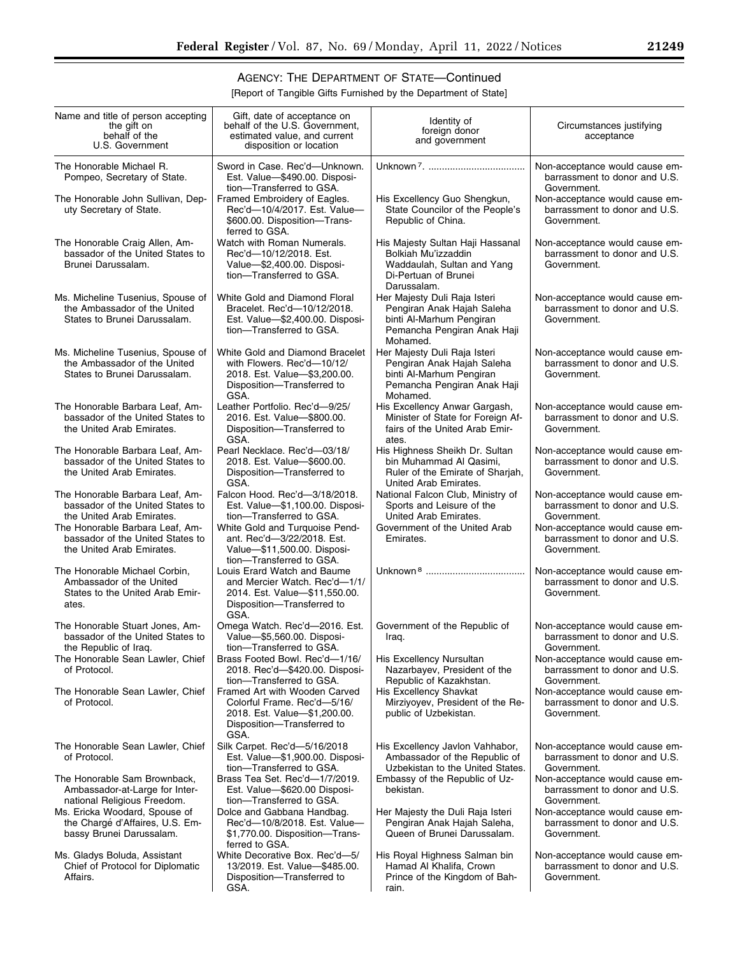▀

# AGENCY: THE DEPARTMENT OF STATE—Continued

[Report of Tangible Gifts Furnished by the Department of State]

| Name and title of person accepting<br>the gift on<br>behalf of the<br>U.S. Government                                                                                                                | Gift, date of acceptance on<br>behalf of the U.S. Government,<br>estimated value, and current<br>disposition or location                                                                                                | Identity of<br>foreign donor<br>and government                                                                                                | Circumstances justifying<br>acceptance                                                                                                                           |
|------------------------------------------------------------------------------------------------------------------------------------------------------------------------------------------------------|-------------------------------------------------------------------------------------------------------------------------------------------------------------------------------------------------------------------------|-----------------------------------------------------------------------------------------------------------------------------------------------|------------------------------------------------------------------------------------------------------------------------------------------------------------------|
| The Honorable Michael R.<br>Pompeo, Secretary of State.<br>The Honorable John Sullivan, Dep-<br>uty Secretary of State.                                                                              | Sword in Case, Rec'd-Unknown.<br>Est. Value-\$490.00. Disposi-<br>tion-Transferred to GSA.<br>Framed Embroidery of Eagles.<br>Rec'd-10/4/2017. Est. Value-<br>\$600.00. Disposition-Trans-<br>ferred to GSA.            | His Excellency Guo Shengkun,<br>State Councilor of the People's<br>Republic of China.                                                         | Non-acceptance would cause em-<br>barrassment to donor and U.S.<br>Government.<br>Non-acceptance would cause em-<br>barrassment to donor and U.S.<br>Government. |
| The Honorable Craig Allen, Am-<br>bassador of the United States to<br>Brunei Darussalam.                                                                                                             | Watch with Roman Numerals.<br>Rec'd-10/12/2018. Est.<br>Value-\$2,400.00. Disposi-<br>tion-Transferred to GSA.                                                                                                          | His Majesty Sultan Haji Hassanal<br>Bolkiah Mu'izzaddin<br>Waddaulah, Sultan and Yang<br>Di-Pertuan of Brunei<br>Darussalam.                  | Non-acceptance would cause em-<br>barrassment to donor and U.S.<br>Government.                                                                                   |
| Ms. Micheline Tusenius, Spouse of<br>the Ambassador of the United<br>States to Brunei Darussalam.                                                                                                    | White Gold and Diamond Floral<br>Bracelet. Rec'd-10/12/2018.<br>Est. Value-\$2,400.00. Disposi-<br>tion-Transferred to GSA.                                                                                             | Her Majesty Duli Raja Isteri<br>Pengiran Anak Hajah Saleha<br>binti Al-Marhum Pengiran<br>Pemancha Pengiran Anak Haji<br>Mohamed.             | Non-acceptance would cause em-<br>barrassment to donor and U.S.<br>Government.                                                                                   |
| Ms. Micheline Tusenius, Spouse of<br>the Ambassador of the United<br>States to Brunei Darussalam.                                                                                                    | White Gold and Diamond Bracelet<br>with Flowers. Rec'd-10/12/<br>2018. Est. Value-\$3,200.00.<br>Disposition-Transferred to<br>GSA.                                                                                     | Her Majesty Duli Raja Isteri<br>Pengiran Anak Hajah Saleha<br>binti Al-Marhum Pengiran<br>Pemancha Pengiran Anak Haji<br>Mohamed.             | Non-acceptance would cause em-<br>barrassment to donor and U.S.<br>Government.                                                                                   |
| The Honorable Barbara Leaf, Am-<br>bassador of the United States to<br>the United Arab Emirates.                                                                                                     | Leather Portfolio. Rec'd-9/25/<br>2016. Est. Value-\$800.00.<br>Disposition-Transferred to<br>GSA.                                                                                                                      | His Excellency Anwar Gargash,<br>Minister of State for Foreign Af-<br>fairs of the United Arab Emir-<br>ates.                                 | Non-acceptance would cause em-<br>barrassment to donor and U.S.<br>Government.                                                                                   |
| The Honorable Barbara Leaf, Am-<br>bassador of the United States to<br>the United Arab Emirates.                                                                                                     | Pearl Necklace. Rec'd-03/18/<br>2018. Est. Value-\$600.00.<br>Disposition-Transferred to<br>GSA.                                                                                                                        | His Highness Sheikh Dr. Sultan<br>bin Muhammad Al Qasimi,<br>Ruler of the Emirate of Sharjah,<br>United Arab Emirates.                        | Non-acceptance would cause em-<br>barrassment to donor and U.S.<br>Government.                                                                                   |
| The Honorable Barbara Leaf, Am-<br>bassador of the United States to<br>the United Arab Emirates.<br>The Honorable Barbara Leaf, Am-<br>bassador of the United States to<br>the United Arab Emirates. | Falcon Hood. Rec'd-3/18/2018.<br>Est. Value-\$1,100.00. Disposi-<br>tion-Transferred to GSA.<br>White Gold and Turquoise Pend-<br>ant. Rec'd-3/22/2018. Est.<br>Value-\$11,500.00. Disposi-<br>tion-Transferred to GSA. | National Falcon Club, Ministry of<br>Sports and Leisure of the<br>United Arab Emirates.<br>Government of the United Arab<br>Emirates.         | Non-acceptance would cause em-<br>barrassment to donor and U.S.<br>Government.<br>Non-acceptance would cause em-<br>barrassment to donor and U.S.<br>Government. |
| The Honorable Michael Corbin,<br>Ambassador of the United<br>States to the United Arab Emir-<br>ates.                                                                                                | Louis Erard Watch and Baume<br>and Mercier Watch. Rec'd-1/1/<br>2014. Est. Value-\$11,550.00.<br>Disposition-Transferred to<br>GSA.                                                                                     |                                                                                                                                               | Non-acceptance would cause em-<br>barrassment to donor and U.S.<br>Government.                                                                                   |
| The Honorable Stuart Jones, Am-<br>bassador of the United States to<br>the Republic of Iraq.<br>The Honorable Sean Lawler, Chief<br>of Protocol.                                                     | Omega Watch. Rec'd-2016. Est.<br>Value-\$5,560.00. Disposi-<br>tion-Transferred to GSA.<br>Brass Footed Bowl. Rec'd-1/16/<br>2018. Rec'd-\$420.00. Disposi-<br>tion-Transferred to GSA.                                 | Government of the Republic of<br>Iraq.<br>His Excellency Nursultan<br>Nazarbayev, President of the<br>Republic of Kazakhstan.                 | Non-acceptance would cause em-<br>barrassment to donor and U.S.<br>Government.<br>Non-acceptance would cause em-<br>barrassment to donor and U.S.<br>Government. |
| The Honorable Sean Lawler, Chief<br>of Protocol.                                                                                                                                                     | Framed Art with Wooden Carved<br>Colorful Frame. Rec'd-5/16/<br>2018. Est. Value-\$1,200.00.<br>Disposition-Transferred to<br>GSA.                                                                                      | His Excellency Shavkat<br>Mirziyoyev, President of the Re-<br>public of Uzbekistan.                                                           | Non-acceptance would cause em-<br>barrassment to donor and U.S.<br>Government.                                                                                   |
| The Honorable Sean Lawler, Chief<br>of Protocol.                                                                                                                                                     | Silk Carpet. Rec'd-5/16/2018<br>Est. Value-\$1,900.00. Disposi-<br>tion-Transferred to GSA.                                                                                                                             | His Excellency Javlon Vahhabor,<br>Ambassador of the Republic of<br>Uzbekistan to the United States.                                          | Non-acceptance would cause em-<br>barrassment to donor and U.S.<br>Government.                                                                                   |
| The Honorable Sam Brownback,<br>Ambassador-at-Large for Inter-<br>national Religious Freedom.<br>Ms. Ericka Woodard, Spouse of<br>the Chargé d'Affaires, U.S. Em-<br>bassy Brunei Darussalam.        | Brass Tea Set. Rec'd-1/7/2019.<br>Est. Value-\$620.00 Disposi-<br>tion-Transferred to GSA.<br>Dolce and Gabbana Handbag.<br>Rec'd-10/8/2018. Est. Value-<br>\$1,770.00. Disposition-Trans-<br>ferred to GSA.            | Embassy of the Republic of Uz-<br>bekistan.<br>Her Majesty the Duli Raja Isteri<br>Pengiran Anak Hajah Saleha,<br>Queen of Brunei Darussalam. | Non-acceptance would cause em-<br>barrassment to donor and U.S.<br>Government.<br>Non-acceptance would cause em-<br>barrassment to donor and U.S.<br>Government. |
| Ms. Gladys Boluda, Assistant<br>Chief of Protocol for Diplomatic<br>Affairs.                                                                                                                         | White Decorative Box. Rec'd-5/<br>13/2019. Est. Value-\$485.00.<br>Disposition-Transferred to<br>GSA.                                                                                                                   | His Royal Highness Salman bin<br>Hamad Al Khalifa, Crown<br>Prince of the Kingdom of Bah-<br>rain.                                            | Non-acceptance would cause em-<br>barrassment to donor and U.S.<br>Government.                                                                                   |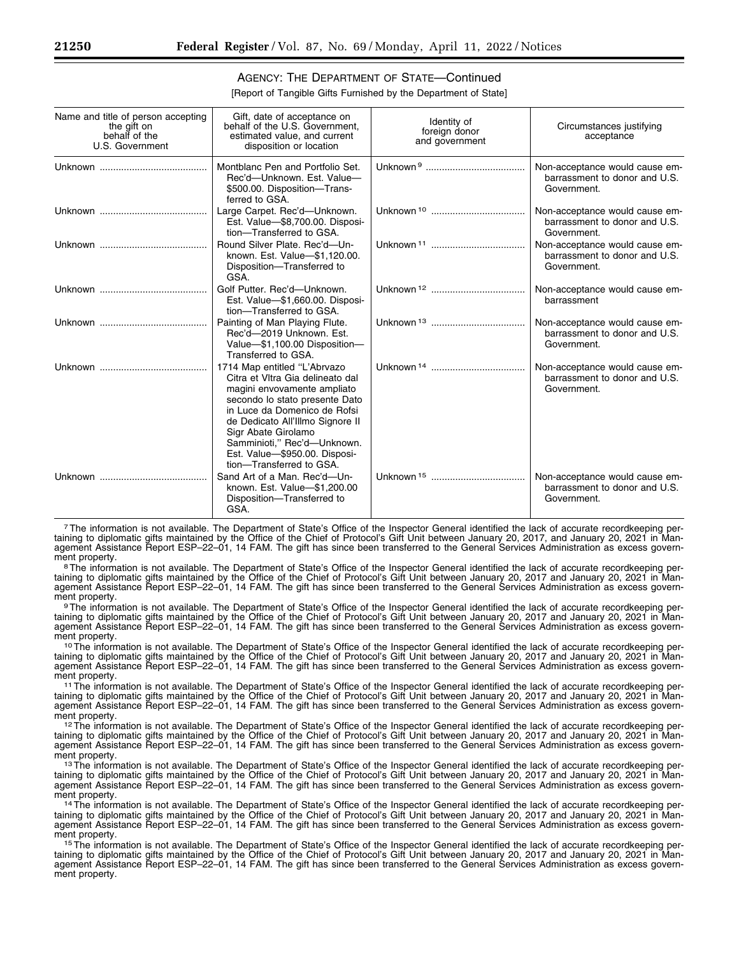### AGENCY: THE DEPARTMENT OF STATE—Continued

[Report of Tangible Gifts Furnished by the Department of State]

| Name and title of person accepting<br>the gift on<br>behalf of the<br>U.S. Government | Gift, date of acceptance on<br>behalf of the U.S. Government,<br>estimated value, and current<br>disposition or location                                                                                                                                                                                                 | Identity of<br>foreign donor<br>and government | Circumstances justifying<br>acceptance                                         |
|---------------------------------------------------------------------------------------|--------------------------------------------------------------------------------------------------------------------------------------------------------------------------------------------------------------------------------------------------------------------------------------------------------------------------|------------------------------------------------|--------------------------------------------------------------------------------|
|                                                                                       | Montblanc Pen and Portfolio Set.<br>Rec'd-Unknown, Est. Value-<br>\$500.00. Disposition-Trans-<br>ferred to GSA.                                                                                                                                                                                                         |                                                | Non-acceptance would cause em-<br>barrassment to donor and U.S.<br>Government. |
|                                                                                       | Large Carpet. Rec'd-Unknown.<br>Est. Value-\$8,700.00. Disposi-<br>tion-Transferred to GSA.                                                                                                                                                                                                                              |                                                | Non-acceptance would cause em-<br>barrassment to donor and U.S.<br>Government. |
|                                                                                       | Round Silver Plate, Rec'd-Un-<br>known. Est. Value-\$1,120.00.<br>Disposition-Transferred to<br>GSA.                                                                                                                                                                                                                     |                                                | Non-acceptance would cause em-<br>barrassment to donor and U.S.<br>Government. |
|                                                                                       | Golf Putter. Rec'd-Unknown.<br>Est. Value-\$1,660.00. Disposi-<br>tion-Transferred to GSA.                                                                                                                                                                                                                               |                                                | Non-acceptance would cause em-<br>barrassment                                  |
|                                                                                       | Painting of Man Playing Flute.<br>Rec'd-2019 Unknown. Est.<br>Value-\$1,100.00 Disposition-<br>Transferred to GSA.                                                                                                                                                                                                       |                                                | Non-acceptance would cause em-<br>barrassment to donor and U.S.<br>Government. |
|                                                                                       | 1714 Map entitled "L'Abrvazo<br>Citra et VItra Gia delineato dal<br>magini envovamente ampliato<br>secondo lo stato presente Dato<br>in Luce da Domenico de Rofsi<br>de Dedicato All'Illmo Signore II<br>Sigr Abate Girolamo<br>Samminioti," Rec'd-Unknown.<br>Est. Value-\$950.00. Disposi-<br>tion-Transferred to GSA. |                                                | Non-acceptance would cause em-<br>barrassment to donor and U.S.<br>Government. |
|                                                                                       | Sand Art of a Man. Rec'd-Un-<br>known. Est. Value-\$1,200.00<br>Disposition-Transferred to<br>GSA.                                                                                                                                                                                                                       |                                                | Non-acceptance would cause em-<br>barrassment to donor and U.S.<br>Government. |

7The information is not available. The Department of State's Office of the Inspector General identified the lack of accurate recordkeeping pertaining to diplomatic gifts maintained by the Office of the Chief of Protocol's Gift Unit between January 20, 2017, and January 20, 2021 in Management Assistance Report ESP–22–01, 14 FAM. The gift has since been transferred to the General Services Administration as excess govern-<br>ment property.

ment property.<br><sup>8</sup>The information is not available. The Department of State's Office of the Inspector General identified the lack of accurate recordkeeping pertaining to diplomatic gifts maintained by the Office of the Chief of Protocol's Gift Unit between January 20, 2017 and January 20, 2021 in Management Assistance Report ESP–22–01, 14 FAM. The gift has since been transferred to the General Services Administration as excess govern-

ment property.<br><sup>9</sup>The information is not available. The Department of State's Office of the Inspector General identified the lack of accurate recordkeeping pertaining to diplomatic gifts maintained by the Office of the Chief of Protocol's Gift Unit between January 20, 2017 and January 20, 2021 in Management Assistance Report ESP–22–01, 14 FAM. The gift has since been transferred to the General Śervices Administration as excess govern-<br>ment property.

<sup>10</sup> The information is not available. The Department of State's Office of the Inspector General identified the lack of accurate recordkeeping pertaining to diplomatic gifts maintained by the Office of the Chief of Protocol's Gift Unit between January 20, 2017 and January 20, 2021 in Management Assistance Report ESP–22–01, 14 FAM. The gift has since been transferred to the General Services Administration as excess government property.<br><sup>11</sup>The information is not available. The Department of State's Office of the Inspector General identified the lack of accurate recordkeeping per-

taining to diplomatic gifts maintained by the Office of the Chief of Protocol's Gift Unit between January 20, 2017 and January 20, 2021 in Management Assistance Report ESP–22–01, 14 FAM. The gift has since been transferred to the General Services Administration as excess government property.<br><sup>12</sup>The information is not available. The Department of State's Office of the Inspector General identified the lack of accurate recordkeeping per-

taining to diplomatic gifts maintained by the Office of the Chief of Protocol's Gift Unit between January 20, 2017 and January 20, 2021 in Management Assistance Report ESP–22–01, 14 FAM. The gift has since been transferred to the General Services Administration as excess govern-

ment property.<br><sup>13</sup>The information is not available. The Department of State's Office of the Inspector General identified the lack of accurate recordkeeping pertaining to diplomatic gifts maintained by the Office of the Chief of Protocol's Gift Unit between January 20, 2017 and January 20, 2021 in Management Assistance Report ESP–22–01, 14 FAM. The gift has since been transferred to the General Services Administration as excess govern-

ment property.<br><sup>14</sup>The information is not available. The Department of State's Office of the Inspector General identified the lack of accurate recordkeeping pertaining to diplomatic gifts maintained by the Office of the Chief of Protocol's Gift Unit between January 20, 2017 and January 20, 2021 in Management Assistance Report ESP–22–01, 14 FAM. The gift has since been transferred to the General Services Administration as excess govern-

ment property.<br><sup>15</sup>The information is not available. The Department of State's Office of the Inspector General identified the lack of accurate recordkeeping pertaining to diplomatic gifts maintained by the Office of the Chief of Protocol's Gift Unit between January 20, 2017 and January 20, 2021 in Management Assistance Report ESP–22–01, 14 FAM. The gift has since been transferred to the General Services Administration as excess government property.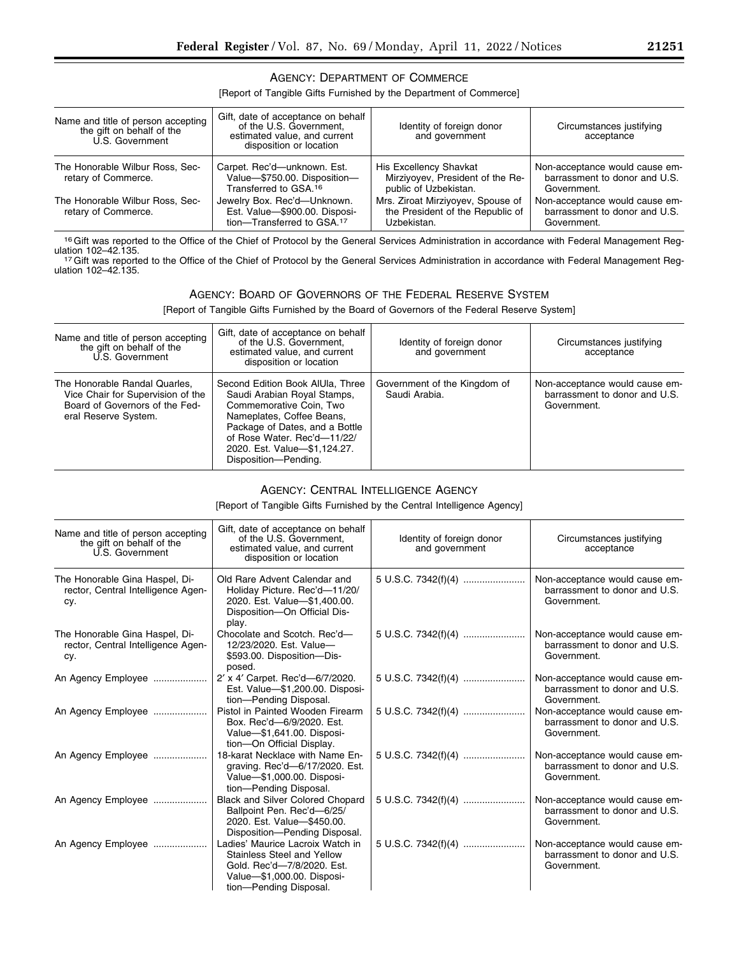### AGENCY: DEPARTMENT OF COMMERCE

### [Report of Tangible Gifts Furnished by the Department of Commerce]

| Name and title of person accepting<br>the gift on behalf of the<br>U.S. Government | Gift, date of acceptance on behalf<br>of the U.S. Government,<br>estimated value, and current<br>disposition or location | Identity of foreign donor<br>and government                                          | Circumstances justifying<br>acceptance                                         |
|------------------------------------------------------------------------------------|--------------------------------------------------------------------------------------------------------------------------|--------------------------------------------------------------------------------------|--------------------------------------------------------------------------------|
| The Honorable Wilbur Ross, Sec-<br>retary of Commerce.                             | Carpet. Rec'd-unknown. Est.<br>Value-\$750.00. Disposition-<br>Transferred to GSA. <sup>16</sup>                         | His Excellency Shavkat<br>Mirziyovev, President of the Re-<br>public of Uzbekistan.  | Non-acceptance would cause em-<br>barrassment to donor and U.S.<br>Government. |
| The Honorable Wilbur Ross, Sec-<br>retary of Commerce.                             | Jewelry Box. Rec'd-Unknown.<br>Est. Value-\$900.00. Disposi-<br>tion-Transferred to GSA. <sup>17</sup>                   | Mrs. Ziroat Mirziyoyev, Spouse of<br>the President of the Republic of<br>Uzbekistan. | Non-acceptance would cause em-<br>barrassment to donor and U.S.<br>Government. |

16 Gift was reported to the Office of the Chief of Protocol by the General Services Administration in accordance with Federal Management Reg-<br>ulation 102-42.135. ulation 102–42.135.<br>17 Gift was reported to the Office of the Chief of Protocol by the General Services Administration in accordance with Federal Management Reg-

ulation 102–42.135.

## AGENCY: BOARD OF GOVERNORS OF THE FEDERAL RESERVE SYSTEM

[Report of Tangible Gifts Furnished by the Board of Governors of the Federal Reserve System]

| Name and title of person accepting<br>the gift on behalf of the<br>U.S. Government                                           | Gift, date of acceptance on behalf<br>of the U.S. Government,<br>estimated value, and current<br>disposition or location                                                                                                                         | Identity of foreign donor<br>and government   | Circumstances justifying<br>acceptance                                         |
|------------------------------------------------------------------------------------------------------------------------------|--------------------------------------------------------------------------------------------------------------------------------------------------------------------------------------------------------------------------------------------------|-----------------------------------------------|--------------------------------------------------------------------------------|
| The Honorable Randal Quarles.<br>Vice Chair for Supervision of the<br>Board of Governors of the Fed-<br>eral Reserve System. | Second Edition Book AlUla, Three<br>Saudi Arabian Royal Stamps,<br>Commemorative Coin, Two<br>Nameplates, Coffee Beans,<br>Package of Dates, and a Bottle<br>of Rose Water, Rec'd-11/22/<br>2020. Est. Value-\$1,124.27.<br>Disposition-Pending. | Government of the Kingdom of<br>Saudi Arabia. | Non-acceptance would cause em-<br>barrassment to donor and U.S.<br>Government. |

### AGENCY: CENTRAL INTELLIGENCE AGENCY

[Report of Tangible Gifts Furnished by the Central Intelligence Agency]

| Name and title of person accepting<br>the gift on behalf of the<br>U.S. Government | Gift, date of acceptance on behalf<br>of the U.S. Government.<br>estimated value, and current<br>disposition or location                             | Identity of foreign donor<br>and government | Circumstances justifying<br>acceptance                                         |
|------------------------------------------------------------------------------------|------------------------------------------------------------------------------------------------------------------------------------------------------|---------------------------------------------|--------------------------------------------------------------------------------|
| The Honorable Gina Haspel, Di-<br>rector, Central Intelligence Agen-<br>cy.        | Old Rare Advent Calendar and<br>Holiday Picture. Rec'd-11/20/<br>2020. Est. Value-\$1,400.00.<br>Disposition-On Official Dis-<br>play.               | 5 U.S.C. 7342(f)(4)                         | Non-acceptance would cause em-<br>barrassment to donor and U.S.<br>Government. |
| The Honorable Gina Haspel, Di-<br>rector, Central Intelligence Agen-<br>cy.        | Chocolate and Scotch. Rec'd-<br>12/23/2020. Est. Value-<br>\$593.00. Disposition-Dis-<br>posed.                                                      | 5 U.S.C. 7342(f)(4)                         | Non-acceptance would cause em-<br>barrassment to donor and U.S.<br>Government. |
| An Agency Employee                                                                 | 2' x 4' Carpet. Rec'd-6/7/2020.<br>Est. Value-\$1,200.00. Disposi-<br>tion-Pending Disposal.                                                         | 5 U.S.C. 7342(f)(4)                         | Non-acceptance would cause em-<br>barrassment to donor and U.S.<br>Government. |
| An Agency Employee                                                                 | Pistol in Painted Wooden Firearm<br>Box, Rec'd-6/9/2020, Est.<br>Value-\$1,641.00. Disposi-<br>tion-On Official Display.                             |                                             | Non-acceptance would cause em-<br>barrassment to donor and U.S.<br>Government. |
| An Agency Employee                                                                 | 18-karat Necklace with Name En-<br>graving. Rec'd-6/17/2020. Est.<br>Value-\$1,000.00. Disposi-<br>tion-Pending Disposal.                            | 5 U.S.C. 7342(f)(4)                         | Non-acceptance would cause em-<br>barrassment to donor and U.S.<br>Government. |
| An Agency Employee                                                                 | <b>Black and Silver Colored Chopard</b><br>Ballpoint Pen. Rec'd-6/25/<br>2020. Est. Value-\$450.00.<br>Disposition-Pending Disposal.                 | 5 U.S.C. 7342(f)(4)                         | Non-acceptance would cause em-<br>barrassment to donor and U.S.<br>Government. |
| An Agency Employee                                                                 | Ladies' Maurice Lacroix Watch in<br>Stainless Steel and Yellow<br>Gold. Rec'd-7/8/2020. Est.<br>Value-\$1,000.00. Disposi-<br>tion-Pending Disposal. | 5 U.S.C. 7342(f)(4)                         | Non-acceptance would cause em-<br>barrassment to donor and U.S.<br>Government. |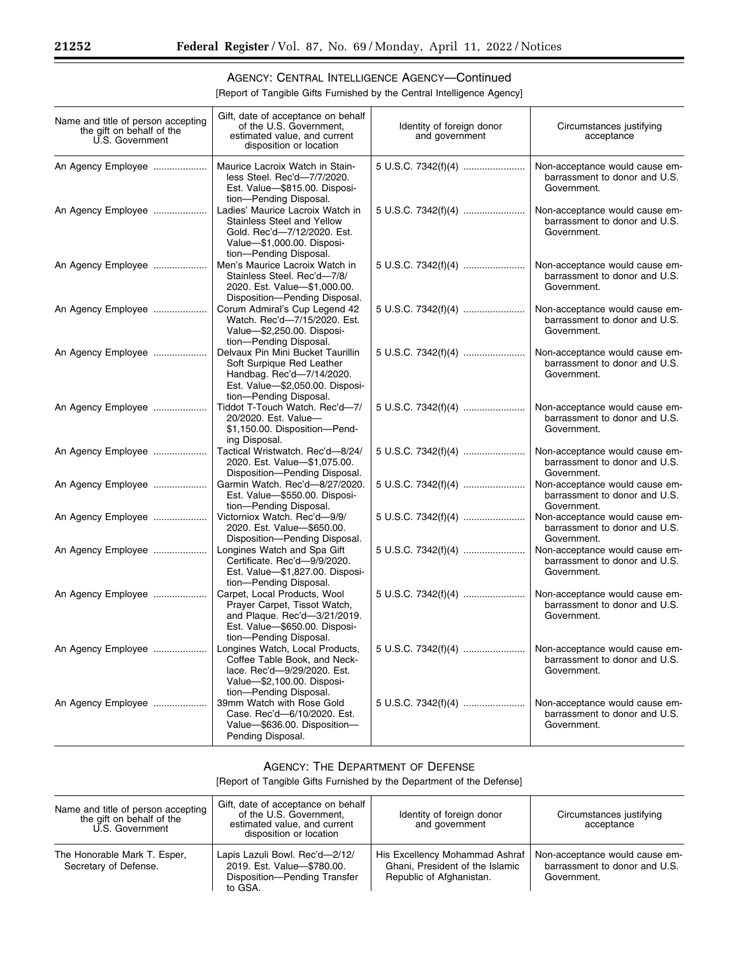# AGENCY: CENTRAL INTELLIGENCE AGENCY—Continued

[Report of Tangible Gifts Furnished by the Central Intelligence Agency]

| Name and title of person accepting<br>the gift on behalf of the<br>U.S. Government | Gift, date of acceptance on behalf<br>of the U.S. Government,<br>estimated value, and current<br>disposition or location                                                     | Identity of foreign donor<br>and government | Circumstances justifying<br>acceptance                                         |
|------------------------------------------------------------------------------------|------------------------------------------------------------------------------------------------------------------------------------------------------------------------------|---------------------------------------------|--------------------------------------------------------------------------------|
| An Agency Employee                                                                 | Maurice Lacroix Watch in Stain-<br>less Steel. Rec'd-7/7/2020.<br>Est. Value-\$815.00. Disposi-<br>tion-Pending Disposal.                                                    | 5 U.S.C. 7342(f)(4)                         | Non-acceptance would cause em-<br>barrassment to donor and U.S.<br>Government. |
| An Agency Employee                                                                 | Ladies' Maurice Lacroix Watch in<br>Stainless Steel and Yellow<br>Gold. Rec'd-7/12/2020. Est.<br>Value-\$1,000.00. Disposi-<br>tion-Pending Disposal.                        | 5 U.S.C. 7342(f)(4)                         | Non-acceptance would cause em-<br>barrassment to donor and U.S.<br>Government. |
| An Agency Employee                                                                 | Men's Maurice Lacroix Watch in<br>Stainless Steel. Rec'd-7/8/<br>2020. Est. Value-\$1,000.00.<br>Disposition-Pending Disposal.                                               | 5 U.S.C. 7342(f)(4)                         | Non-acceptance would cause em-<br>barrassment to donor and U.S.<br>Government. |
| An Agency Employee                                                                 | Corum Admiral's Cup Legend 42<br>Watch. Rec'd-7/15/2020. Est.<br>Value-\$2,250.00. Disposi-<br>tion-Pending Disposal.                                                        | 5 U.S.C. 7342(f)(4)                         | Non-acceptance would cause em-<br>barrassment to donor and U.S.<br>Government. |
| An Agency Employee                                                                 | Delvaux Pin Mini Bucket Taurillin<br>Soft Surpique Red Leather<br>Handbag. Rec'd-7/14/2020.<br>Est. Value-\$2,050.00. Disposi-<br>tion-Pending Disposal.                     | 5 U.S.C. 7342(f)(4)                         | Non-acceptance would cause em-<br>barrassment to donor and U.S.<br>Government. |
| An Agency Employee                                                                 | Tiddot T-Touch Watch. Rec'd-7/<br>20/2020. Est. Value-<br>\$1,150.00. Disposition-Pend-<br>ing Disposal.                                                                     | 5 U.S.C. 7342(f)(4)                         | Non-acceptance would cause em-<br>barrassment to donor and U.S.<br>Government. |
| An Agency Employee                                                                 | Tactical Wristwatch. Rec'd-8/24/<br>2020. Est. Value-\$1,075.00.<br>Disposition-Pending Disposal.                                                                            | 5 U.S.C. 7342(f)(4)                         | Non-acceptance would cause em-<br>barrassment to donor and U.S.<br>Government. |
| An Agency Employee                                                                 | Garmin Watch. Rec'd-8/27/2020.<br>Est. Value-\$550.00. Disposi-<br>tion-Pending Disposal.                                                                                    | 5 U.S.C. 7342(f)(4)                         | Non-acceptance would cause em-<br>barrassment to donor and U.S.<br>Government. |
| An Agency Employee                                                                 | Victorniox Watch. Rec'd-9/9/<br>2020. Est. Value-\$650.00.<br>Disposition-Pending Disposal.                                                                                  | 5 U.S.C. 7342(f)(4)                         | Non-acceptance would cause em-<br>barrassment to donor and U.S.<br>Government. |
| An Agency Employee                                                                 | Longines Watch and Spa Gift<br>Certificate. Rec'd-9/9/2020.<br>Est. Value-\$1,827.00. Disposi-<br>tion-Pending Disposal.                                                     | 5 U.S.C. 7342(f)(4)                         | Non-acceptance would cause em-<br>barrassment to donor and U.S.<br>Government. |
| An Agency Employee                                                                 | Carpet, Local Products, Wool<br>Prayer Carpet, Tissot Watch,<br>and Plaque. Rec'd-3/21/2019.<br>Est. Value-\$650.00. Disposi-<br>tion-Pending Disposal.                      | 5 U.S.C. 7342(f)(4)                         | Non-acceptance would cause em-<br>barrassment to donor and U.S.<br>Government. |
| An Agency Employee                                                                 | Longines Watch, Local Products,   5 U.S.C. 7342(f)(4)<br>Coffee Table Book, and Neck-<br>lace. Rec'd-9/29/2020. Est.<br>Value-\$2,100.00. Disposi-<br>tion-Pending Disposal. |                                             | Non-acceptance would cause em-<br>barrassment to donor and U.S.<br>Government. |
| An Agency Employee                                                                 | 39mm Watch with Rose Gold<br>Case. Rec'd-6/10/2020. Est.<br>Value-\$636.00. Disposition-<br>Pending Disposal.                                                                |                                             | Non-acceptance would cause em-<br>barrassment to donor and U.S.<br>Government. |

# AGENCY: THE DEPARTMENT OF DEFENSE

[Report of Tangible Gifts Furnished by the Department of the Defense]

| Name and title of person accepting<br>the gift on behalf of the<br>U.S. Government | Gift, date of acceptance on behalf<br>of the U.S. Government,<br>estimated value, and current<br>disposition or location | Identity of foreign donor<br>and government                                                   | Circumstances justifying<br>acceptance                                         |
|------------------------------------------------------------------------------------|--------------------------------------------------------------------------------------------------------------------------|-----------------------------------------------------------------------------------------------|--------------------------------------------------------------------------------|
| The Honorable Mark T. Esper,<br>Secretary of Defense.                              | Lapis Lazuli Bowl. Rec'd-2/12/<br>2019. Est. Value-\$780.00.<br>Disposition-Pending Transfer<br>to GSA.                  | His Excellency Mohammad Ashraf<br>Ghani. President of the Islamic<br>Republic of Afghanistan. | Non-acceptance would cause em-<br>barrassment to donor and U.S.<br>Government. |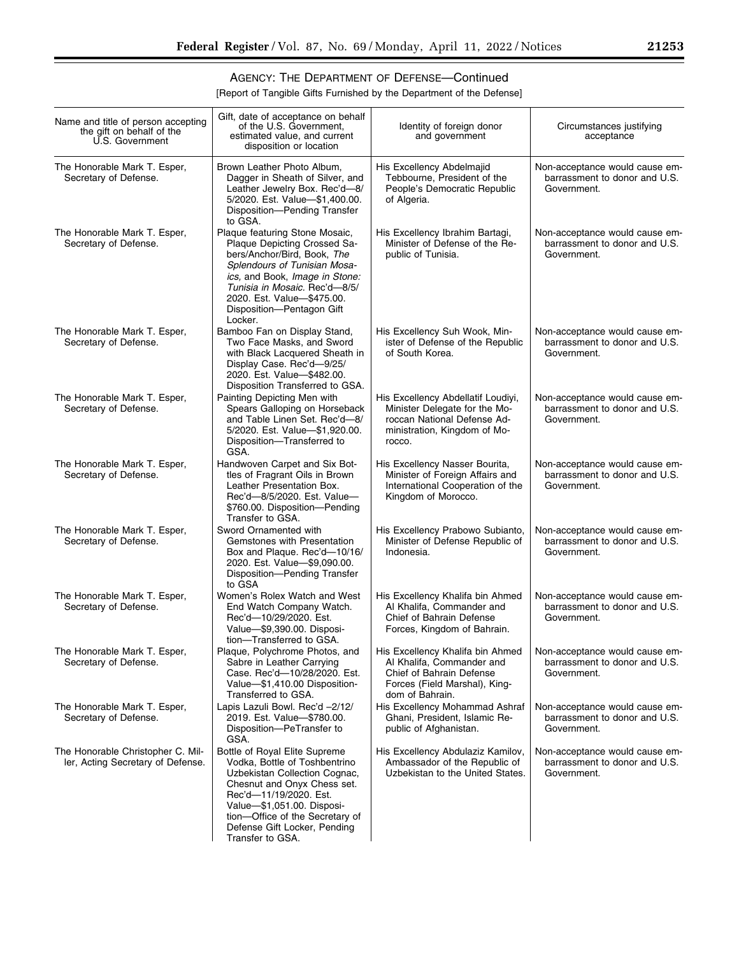۰

# AGENCY: THE DEPARTMENT OF DEFENSE—Continued

[Report of Tangible Gifts Furnished by the Department of the Defense]

| Name and title of person accepting<br>the gift on behalf of the<br>U.S. Government | Gift, date of acceptance on behalf<br>of the U.S. Government,<br>estimated value, and current<br>disposition or location                                                                                                                                                      | Identity of foreign donor<br>and government                                                                                                   | Circumstances justifying<br>acceptance                                         |
|------------------------------------------------------------------------------------|-------------------------------------------------------------------------------------------------------------------------------------------------------------------------------------------------------------------------------------------------------------------------------|-----------------------------------------------------------------------------------------------------------------------------------------------|--------------------------------------------------------------------------------|
| The Honorable Mark T. Esper,<br>Secretary of Defense.                              | Brown Leather Photo Album,<br>Dagger in Sheath of Silver, and<br>Leather Jewelry Box. Rec'd-8/<br>5/2020. Est. Value-\$1,400.00.<br>Disposition-Pending Transfer<br>to GSA.                                                                                                   | His Excellency Abdelmajid<br>Tebbourne, President of the<br>People's Democratic Republic<br>of Algeria.                                       | Non-acceptance would cause em-<br>barrassment to donor and U.S.<br>Government. |
| The Honorable Mark T. Esper,<br>Secretary of Defense.                              | Plaque featuring Stone Mosaic,<br>Plaque Depicting Crossed Sa-<br>bers/Anchor/Bird, Book, The<br>Splendours of Tunisian Mosa-<br>ics, and Book, Image in Stone:<br>Tunisia in Mosaic. Rec'd-8/5/<br>2020. Est. Value-\$475.00.<br>Disposition-Pentagon Gift<br>Locker.        | His Excellency Ibrahim Bartagi,<br>Minister of Defense of the Re-<br>public of Tunisia.                                                       | Non-acceptance would cause em-<br>barrassment to donor and U.S.<br>Government. |
| The Honorable Mark T. Esper,<br>Secretary of Defense.                              | Bamboo Fan on Display Stand,<br>Two Face Masks, and Sword<br>with Black Lacquered Sheath in<br>Display Case. Rec'd-9/25/<br>2020. Est. Value-\$482.00.<br>Disposition Transferred to GSA.                                                                                     | His Excellency Suh Wook, Min-<br>ister of Defense of the Republic<br>of South Korea.                                                          | Non-acceptance would cause em-<br>barrassment to donor and U.S.<br>Government. |
| The Honorable Mark T. Esper,<br>Secretary of Defense.                              | Painting Depicting Men with<br>Spears Galloping on Horseback<br>and Table Linen Set. Rec'd-8/<br>5/2020. Est. Value-\$1,920.00.<br>Disposition-Transferred to<br>GSA.                                                                                                         | His Excellency Abdellatif Loudiyi,<br>Minister Delegate for the Mo-<br>roccan National Defense Ad-<br>ministration, Kingdom of Mo-<br>rocco.  | Non-acceptance would cause em-<br>barrassment to donor and U.S.<br>Government. |
| The Honorable Mark T. Esper,<br>Secretary of Defense.                              | Handwoven Carpet and Six Bot-<br>tles of Fragrant Oils in Brown<br>Leather Presentation Box.<br>Rec'd-8/5/2020. Est. Value-<br>\$760.00. Disposition-Pending<br>Transfer to GSA.                                                                                              | His Excellency Nasser Bourita,<br>Minister of Foreign Affairs and<br>International Cooperation of the<br>Kingdom of Morocco.                  | Non-acceptance would cause em-<br>barrassment to donor and U.S.<br>Government. |
| The Honorable Mark T. Esper,<br>Secretary of Defense.                              | Sword Ornamented with<br>Gemstones with Presentation<br>Box and Plaque. Rec'd-10/16/<br>2020. Est. Value-\$9,090.00.<br>Disposition-Pending Transfer<br>to GSA                                                                                                                | His Excellency Prabowo Subianto,<br>Minister of Defense Republic of<br>Indonesia.                                                             | Non-acceptance would cause em-<br>barrassment to donor and U.S.<br>Government. |
| The Honorable Mark T. Esper,<br>Secretary of Defense.                              | Women's Rolex Watch and West<br>End Watch Company Watch.<br>Rec'd-10/29/2020. Est.<br>Value-\$9,390.00. Disposi-<br>tion-Transferred to GSA.                                                                                                                                  | His Excellency Khalifa bin Ahmed<br>Al Khalifa, Commander and<br>Chief of Bahrain Defense<br>Forces, Kingdom of Bahrain.                      | Non-acceptance would cause em-<br>barrassment to donor and U.S.<br>Government. |
| The Honorable Mark T. Esper,<br>Secretary of Defense.                              | Plaque, Polychrome Photos, and<br>Sabre in Leather Carrying<br>Case. Rec'd-10/28/2020. Est.<br>Value-\$1,410.00 Disposition-<br>Transferred to GSA.                                                                                                                           | His Excellency Khalifa bin Ahmed<br>Al Khalifa, Commander and<br>Chief of Bahrain Defense<br>Forces (Field Marshal), King-<br>dom of Bahrain. | Non-acceptance would cause em-<br>barrassment to donor and U.S.<br>Government. |
| The Honorable Mark T. Esper,<br>Secretary of Defense.                              | Lapis Lazuli Bowl. Rec'd -2/12/<br>2019. Est. Value-\$780.00.<br>Disposition-PeTransfer to<br>GSA.                                                                                                                                                                            | His Excellency Mohammad Ashraf<br>Ghani, President, Islamic Re-<br>public of Afghanistan.                                                     | Non-acceptance would cause em-<br>barrassment to donor and U.S.<br>Government. |
| The Honorable Christopher C. Mil-<br>ler, Acting Secretary of Defense.             | Bottle of Royal Elite Supreme<br>Vodka, Bottle of Toshbentrino<br>Uzbekistan Collection Cognac,<br>Chesnut and Onyx Chess set.<br>Rec'd-11/19/2020. Est.<br>Value-\$1,051.00. Disposi-<br>tion-Office of the Secretary of<br>Defense Gift Locker, Pending<br>Transfer to GSA. | His Excellency Abdulaziz Kamilov,<br>Ambassador of the Republic of<br>Uzbekistan to the United States.                                        | Non-acceptance would cause em-<br>barrassment to donor and U.S.<br>Government. |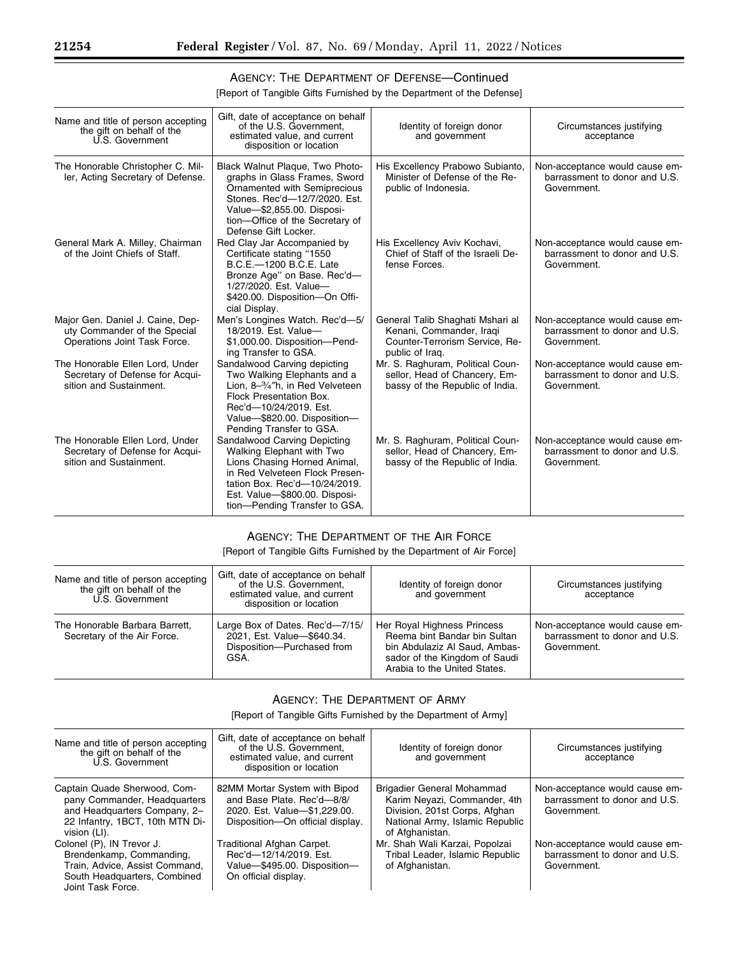# AGENCY: THE DEPARTMENT OF DEFENSE—Continued

[Report of Tangible Gifts Furnished by the Department of the Defense]

| Name and title of person accepting<br>the gift on behalf of the<br>U.S. Government               | Gift, date of acceptance on behalf<br>of the U.S. Government.<br>estimated value, and current<br>disposition or location                                                                                                       | Identity of foreign donor<br>and government                                                                       | Circumstances justifying<br>acceptance                                         |
|--------------------------------------------------------------------------------------------------|--------------------------------------------------------------------------------------------------------------------------------------------------------------------------------------------------------------------------------|-------------------------------------------------------------------------------------------------------------------|--------------------------------------------------------------------------------|
| The Honorable Christopher C. Mil-<br>ler, Acting Secretary of Defense.                           | Black Walnut Plaque, Two Photo-<br>graphs in Glass Frames, Sword<br>Ornamented with Semiprecious<br>Stones, Rec'd-12/7/2020, Est.<br>Value-\$2,855.00. Disposi-<br>tion-Office of the Secretary of<br>Defense Gift Locker.     | His Excellency Prabowo Subianto,<br>Minister of Defense of the Re-<br>public of Indonesia.                        | Non-acceptance would cause em-<br>barrassment to donor and U.S.<br>Government. |
| General Mark A. Milley, Chairman<br>of the Joint Chiefs of Staff.                                | Red Clay Jar Accompanied by<br>Certificate stating "1550<br>B.C.E.-1200 B.C.E. Late<br>Bronze Age" on Base. Rec'd-<br>1/27/2020. Est. Value-<br>\$420.00. Disposition-On Offi-<br>cial Display.                                | His Excellency Aviv Kochavi,<br>Chief of Staff of the Israeli De-<br>fense Forces.                                | Non-acceptance would cause em-<br>barrassment to donor and U.S.<br>Government. |
| Major Gen. Daniel J. Caine, Dep-<br>uty Commander of the Special<br>Operations Joint Task Force. | Men's Longines Watch. Rec'd-5/<br>18/2019. Est. Value-<br>\$1,000.00. Disposition-Pend-<br>ing Transfer to GSA.                                                                                                                | General Talib Shaghati Mshari al<br>Kenani, Commander, Iraqi<br>Counter-Terrorism Service, Re-<br>public of Iraq. | Non-acceptance would cause em-<br>barrassment to donor and U.S.<br>Government. |
| The Honorable Ellen Lord, Under<br>Secretary of Defense for Acqui-<br>sition and Sustainment.    | Sandalwood Carving depicting<br>Two Walking Elephants and a<br>Lion, 8-3/4"h, in Red Velveteen<br><b>Flock Presentation Box.</b><br>Rec'd-10/24/2019. Est.<br>Value-\$820.00. Disposition-<br>Pending Transfer to GSA.         | Mr. S. Raghuram, Political Coun-<br>sellor, Head of Chancery, Em-<br>bassy of the Republic of India.              | Non-acceptance would cause em-<br>barrassment to donor and U.S.<br>Government. |
| The Honorable Ellen Lord, Under<br>Secretary of Defense for Acqui-<br>sition and Sustainment.    | Sandalwood Carving Depicting<br>Walking Elephant with Two<br>Lions Chasing Horned Animal,<br>in Red Velveteen Flock Presen-<br>tation Box. Rec'd-10/24/2019.<br>Est. Value-\$800.00. Disposi-<br>tion-Pending Transfer to GSA. | Mr. S. Raghuram, Political Coun-<br>sellor, Head of Chancery, Em-<br>bassy of the Republic of India.              | Non-acceptance would cause em-<br>barrassment to donor and U.S.<br>Government. |

### AGENCY: THE DEPARTMENT OF THE AIR FORCE

[Report of Tangible Gifts Furnished by the Department of Air Force]

| Name and title of person accepting<br>the gift on behalf of the<br>U.S. Government | Gift, date of acceptance on behalf<br>of the U.S. Government.<br>estimated value, and current<br>disposition or location | Identity of foreign donor<br>and government                                                                                                                   | Circumstances justifying<br>acceptance                                         |
|------------------------------------------------------------------------------------|--------------------------------------------------------------------------------------------------------------------------|---------------------------------------------------------------------------------------------------------------------------------------------------------------|--------------------------------------------------------------------------------|
| The Honorable Barbara Barrett,<br>Secretary of the Air Force.                      | Large Box of Dates. Rec'd-7/15/<br>2021, Est. Value-\$640.34.<br>Disposition-Purchased from<br>GSA.                      | Her Royal Highness Princess<br>Reema bint Bandar bin Sultan<br>bin Abdulaziz Al Saud, Ambas-<br>sador of the Kingdom of Saudi<br>Arabia to the United States. | Non-acceptance would cause em-<br>barrassment to donor and U.S.<br>Government. |

### AGENCY: THE DEPARTMENT OF ARMY

[Report of Tangible Gifts Furnished by the Department of Army]

| Name and title of person accepting<br>the gift on behalf of the<br>U.S. Government                                                              | Gift, date of acceptance on behalf<br>of the U.S. Government.<br>estimated value, and current<br>disposition or location        | Identity of foreign donor<br>and government                                                                                                       | Circumstances justifying<br>acceptance                                         |
|-------------------------------------------------------------------------------------------------------------------------------------------------|---------------------------------------------------------------------------------------------------------------------------------|---------------------------------------------------------------------------------------------------------------------------------------------------|--------------------------------------------------------------------------------|
| Captain Quade Sherwood, Com-<br>pany Commander, Headquarters<br>and Headquarters Company, 2-<br>22 Infantry, 1BCT, 10th MTN Di-<br>vision (LI). | 82MM Mortar System with Bipod<br>and Base Plate. Rec'd-8/8/<br>2020. Est. Value-\$1,229.00.<br>Disposition-On official display. | Brigadier General Mohammad<br>Karim Neyazi, Commander, 4th<br>Division, 201st Corps, Afghan<br>National Army, Islamic Republic<br>of Afghanistan. | Non-acceptance would cause em-<br>barrassment to donor and U.S.<br>Government. |
| Colonel (P), IN Trevor J.<br>Brendenkamp, Commanding,<br>Train, Advice, Assist Command,<br>South Headquarters, Combined<br>Joint Task Force.    | Traditional Afghan Carpet.<br>Rec'd-12/14/2019. Est.<br>Value-\$495.00. Disposition-<br>On official display.                    | Mr. Shah Wali Karzai, Popolzai<br>Tribal Leader, Islamic Republic<br>of Afghanistan.                                                              | Non-acceptance would cause em-<br>barrassment to donor and U.S.<br>Government. |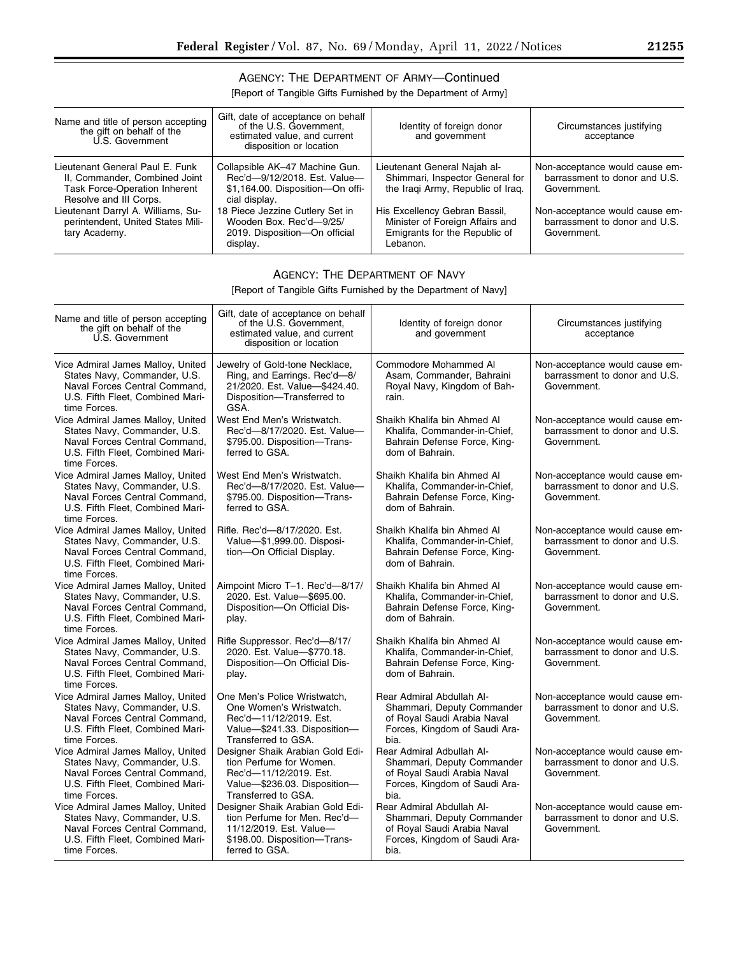# AGENCY: THE DEPARTMENT OF ARMY—Continued

[Report of Tangible Gifts Furnished by the Department of Army]

| Name and title of person accepting<br>the gift on behalf of the<br>U.S. Government                                                 | Gift, date of acceptance on behalf<br>of the U.S. Government.<br>estimated value, and current<br>disposition or location | Identity of foreign donor<br>and government                                                                   | Circumstances justifying<br>acceptance                                         |
|------------------------------------------------------------------------------------------------------------------------------------|--------------------------------------------------------------------------------------------------------------------------|---------------------------------------------------------------------------------------------------------------|--------------------------------------------------------------------------------|
| Lieutenant General Paul E. Funk<br>II, Commander, Combined Joint<br><b>Task Force-Operation Inherent</b><br>Resolve and III Corps. | Collapsible AK-47 Machine Gun.<br>Rec'd-9/12/2018. Est. Value-<br>\$1,164.00. Disposition-On offi-<br>cial display.      | Lieutenant General Najah al-<br>Shimmari, Inspector General for<br>the Iraqi Army, Republic of Iraq.          | Non-acceptance would cause em-<br>barrassment to donor and U.S.<br>Government. |
| Lieutenant Darryl A. Williams, Su-<br>perintendent, United States Mili-<br>tary Academy.                                           | 18 Piece Jezzine Cutlery Set in<br>Wooden Box. Rec'd-9/25/<br>2019. Disposition-On official<br>display.                  | His Excellency Gebran Bassil,<br>Minister of Foreign Affairs and<br>Emigrants for the Republic of<br>Lebanon. | Non-acceptance would cause em-<br>barrassment to donor and U.S.<br>Government. |

# AGENCY: THE DEPARTMENT OF NAVY

[Report of Tangible Gifts Furnished by the Department of Navy]

| Name and title of person accepting<br>the gift on behalf of the<br>U.S. Government                                                                     | Gift, date of acceptance on behalf<br>of the U.S. Government,<br>estimated value, and current<br>disposition or location                      | Identity of foreign donor<br>and government                                                                                            | Circumstances justifying<br>acceptance                                         |
|--------------------------------------------------------------------------------------------------------------------------------------------------------|-----------------------------------------------------------------------------------------------------------------------------------------------|----------------------------------------------------------------------------------------------------------------------------------------|--------------------------------------------------------------------------------|
| Vice Admiral James Malloy, United<br>States Navy, Commander, U.S.<br>Naval Forces Central Command,<br>U.S. Fifth Fleet. Combined Mari-<br>time Forces. | Jewelry of Gold-tone Necklace,<br>Ring, and Earrings. Rec'd-8/<br>21/2020. Est. Value-\$424.40.<br>Disposition-Transferred to<br>GSA.         | Commodore Mohammed Al<br>Asam, Commander, Bahraini<br>Royal Navy, Kingdom of Bah-<br>rain.                                             | Non-acceptance would cause em-<br>barrassment to donor and U.S.<br>Government. |
| Vice Admiral James Malloy, United<br>States Navy, Commander, U.S.<br>Naval Forces Central Command,<br>U.S. Fifth Fleet, Combined Mari-<br>time Forces. | West End Men's Wristwatch.<br>Rec'd-8/17/2020. Est. Value-<br>\$795.00. Disposition-Trans-<br>ferred to GSA.                                  | Shaikh Khalifa bin Ahmed Al<br>Khalifa, Commander-in-Chief,<br>Bahrain Defense Force, King-<br>dom of Bahrain.                         | Non-acceptance would cause em-<br>barrassment to donor and U.S.<br>Government. |
| Vice Admiral James Malloy, United<br>States Navy, Commander, U.S.<br>Naval Forces Central Command,<br>U.S. Fifth Fleet, Combined Mari-<br>time Forces. | West End Men's Wristwatch.<br>Rec'd-8/17/2020. Est. Value-<br>\$795.00. Disposition-Trans-<br>ferred to GSA.                                  | Shaikh Khalifa bin Ahmed Al<br>Khalifa, Commander-in-Chief,<br>Bahrain Defense Force, King-<br>dom of Bahrain.                         | Non-acceptance would cause em-<br>barrassment to donor and U.S.<br>Government. |
| Vice Admiral James Malloy, United<br>States Navy, Commander, U.S.<br>Naval Forces Central Command,<br>U.S. Fifth Fleet, Combined Mari-<br>time Forces. | Rifle, Rec'd-8/17/2020, Est.<br>Value-\$1,999.00. Disposi-<br>tion-On Official Display.                                                       | Shaikh Khalifa bin Ahmed Al<br>Khalifa, Commander-in-Chief,<br>Bahrain Defense Force, King-<br>dom of Bahrain.                         | Non-acceptance would cause em-<br>barrassment to donor and U.S.<br>Government. |
| Vice Admiral James Malloy, United<br>States Navy, Commander, U.S.<br>Naval Forces Central Command,<br>U.S. Fifth Fleet, Combined Mari-<br>time Forces. | Aimpoint Micro T-1. Rec'd-8/17/<br>2020. Est. Value-\$695.00.<br>Disposition-On Official Dis-<br>play.                                        | Shaikh Khalifa bin Ahmed Al<br>Khalifa, Commander-in-Chief,<br>Bahrain Defense Force, King-<br>dom of Bahrain.                         | Non-acceptance would cause em-<br>barrassment to donor and U.S.<br>Government. |
| Vice Admiral James Malloy, United<br>States Navy, Commander, U.S.<br>Naval Forces Central Command,<br>U.S. Fifth Fleet, Combined Mari-<br>time Forces. | Rifle Suppressor. Rec'd-8/17/<br>2020. Est. Value-\$770.18.<br>Disposition-On Official Dis-<br>play.                                          | Shaikh Khalifa bin Ahmed Al<br>Khalifa, Commander-in-Chief,<br>Bahrain Defense Force, King-<br>dom of Bahrain.                         | Non-acceptance would cause em-<br>barrassment to donor and U.S.<br>Government. |
| Vice Admiral James Malloy, United<br>States Navy, Commander, U.S.<br>Naval Forces Central Command,<br>U.S. Fifth Fleet, Combined Mari-<br>time Forces. | One Men's Police Wristwatch,<br>One Women's Wristwatch.<br>Rec'd-11/12/2019. Est.<br>Value-\$241.33. Disposition-<br>Transferred to GSA.      | Rear Admiral Abdullah Al-<br>Shammari, Deputy Commander<br>of Royal Saudi Arabia Naval<br>Forces, Kingdom of Saudi Ara-<br>bia.        | Non-acceptance would cause em-<br>barrassment to donor and U.S.<br>Government. |
| Vice Admiral James Malloy, United<br>States Navy, Commander, U.S.<br>Naval Forces Central Command,<br>U.S. Fifth Fleet, Combined Mari-<br>time Forces. | Designer Shaik Arabian Gold Edi-<br>tion Perfume for Women.<br>Rec'd-11/12/2019. Est.<br>Value-\$236.03. Disposition-<br>Transferred to GSA.  | Rear Admiral Adbullah Al-<br>Shammari, Deputy Commander<br>of Royal Saudi Arabia Naval<br>Forces, Kingdom of Saudi Ara-<br>bia.        | Non-acceptance would cause em-<br>barrassment to donor and U.S.<br>Government. |
| Vice Admiral James Malloy, United<br>States Navy, Commander, U.S.<br>Naval Forces Central Command,<br>U.S. Fifth Fleet, Combined Mari-<br>time Forces. | Designer Shaik Arabian Gold Edi-<br>tion Perfume for Men. Rec'd-<br>11/12/2019. Est. Value-<br>\$198.00. Disposition-Trans-<br>ferred to GSA. | <b>Rear Admiral Abdullah Al-</b><br>Shammari, Deputy Commander<br>of Royal Saudi Arabia Naval<br>Forces, Kingdom of Saudi Ara-<br>bia. | Non-acceptance would cause em-<br>barrassment to donor and U.S.<br>Government. |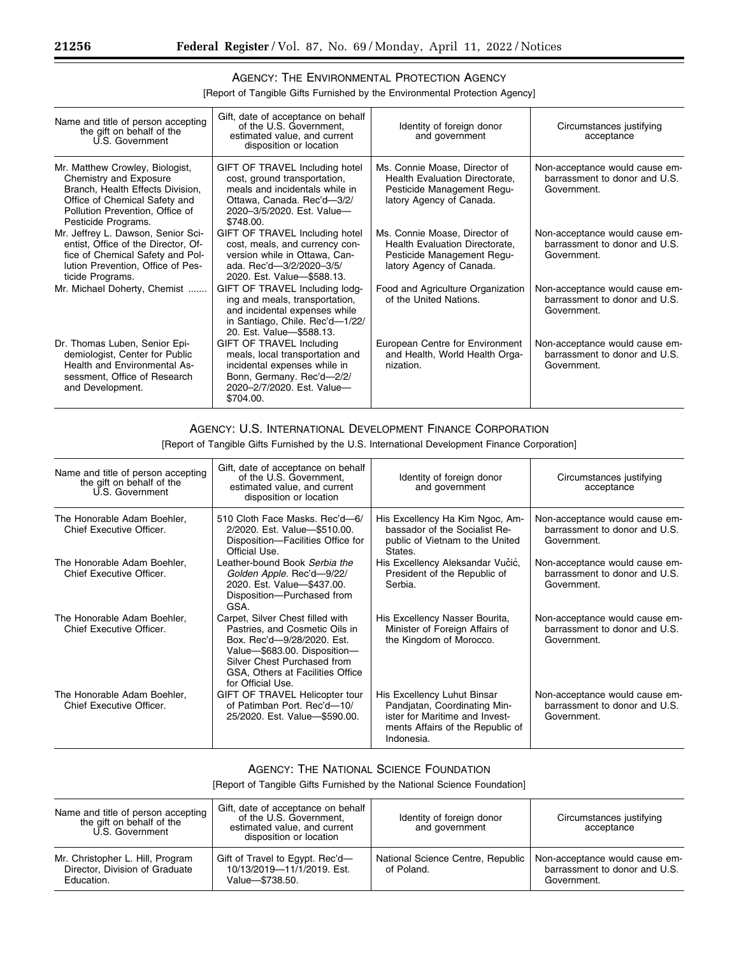## AGENCY: THE ENVIRONMENTAL PROTECTION AGENCY

[Report of Tangible Gifts Furnished by the Environmental Protection Agency]

| Name and title of person accepting<br>the gift on behalf of the<br>U.S. Government                                                                                                       | Gift, date of acceptance on behalf<br>of the U.S. Government.<br>estimated value, and current<br>disposition or location                                                  | Identity of foreign donor<br>and government                                                                               | Circumstances justifying<br>acceptance                                         |
|------------------------------------------------------------------------------------------------------------------------------------------------------------------------------------------|---------------------------------------------------------------------------------------------------------------------------------------------------------------------------|---------------------------------------------------------------------------------------------------------------------------|--------------------------------------------------------------------------------|
| Mr. Matthew Crowley, Biologist,<br>Chemistry and Exposure<br>Branch, Health Effects Division,<br>Office of Chemical Safety and<br>Pollution Prevention, Office of<br>Pesticide Programs. | GIFT OF TRAVEL Including hotel<br>cost, ground transportation,<br>meals and incidentals while in<br>Ottawa, Canada. Rec'd-3/2/<br>2020-3/5/2020, Est. Value-<br>\$748.00. | Ms. Connie Moase, Director of<br>Health Evaluation Directorate,<br>Pesticide Management Regu-<br>latory Agency of Canada. | Non-acceptance would cause em-<br>barrassment to donor and U.S.<br>Government. |
| Mr. Jeffrey L. Dawson, Senior Sci-<br>entist, Office of the Director, Of-<br>fice of Chemical Safety and Pol-<br>lution Prevention, Office of Pes-<br>ticide Programs.                   | GIFT OF TRAVEL Including hotel<br>cost, meals, and currency con-<br>version while in Ottawa, Can-<br>ada, Rec'd-3/2/2020-3/5/<br>2020. Est. Value-\$588.13.               | Ms. Connie Moase, Director of<br>Health Evaluation Directorate,<br>Pesticide Management Regu-<br>latory Agency of Canada. | Non-acceptance would cause em-<br>barrassment to donor and U.S.<br>Government. |
| Mr. Michael Doherty, Chemist                                                                                                                                                             | GIFT OF TRAVEL Including lodg-<br>ing and meals, transportation,<br>and incidental expenses while<br>in Santiago, Chile. Rec'd-1/22/<br>20. Est. Value-\$588.13.          | Food and Agriculture Organization<br>of the United Nations.                                                               | Non-acceptance would cause em-<br>barrassment to donor and U.S.<br>Government. |
| Dr. Thomas Luben, Senior Epi-<br>demiologist, Center for Public<br>Health and Environmental As-<br>sessment, Office of Research<br>and Development.                                      | GIFT OF TRAVEL Including<br>meals, local transportation and<br>incidental expenses while in<br>Bonn, Germany. Rec'd-2/2/<br>2020-2/7/2020, Est. Value-<br>\$704.00.       | European Centre for Environment<br>and Health, World Health Orga-<br>nization.                                            | Non-acceptance would cause em-<br>barrassment to donor and U.S.<br>Government. |

### AGENCY: U.S. INTERNATIONAL DEVELOPMENT FINANCE CORPORATION

[Report of Tangible Gifts Furnished by the U.S. International Development Finance Corporation]

| Name and title of person accepting<br>the gift on behalf of the<br>U.S. Government | Gift, date of acceptance on behalf<br>of the U.S. Government,<br>estimated value, and current<br>disposition or location                                                                                                 | Identity of foreign donor<br>and government                                                                                                     | Circumstances justifying<br>acceptance                                         |
|------------------------------------------------------------------------------------|--------------------------------------------------------------------------------------------------------------------------------------------------------------------------------------------------------------------------|-------------------------------------------------------------------------------------------------------------------------------------------------|--------------------------------------------------------------------------------|
| The Honorable Adam Boehler,<br>Chief Executive Officer.                            | 510 Cloth Face Masks, Rec'd-6/<br>2/2020. Est. Value-\$510.00.<br>Disposition-Facilities Office for<br>Official Use.                                                                                                     | His Excellency Ha Kim Ngoc, Am-<br>bassador of the Socialist Re-<br>public of Vietnam to the United<br>States.                                  | Non-acceptance would cause em-<br>barrassment to donor and U.S.<br>Government. |
| The Honorable Adam Boehler,<br>Chief Executive Officer.                            | Leather-bound Book Serbia the<br>Golden Apple. Rec'd-9/22/<br>2020. Est. Value-\$437.00.<br>Disposition--- Purchased from<br>GSA.                                                                                        | His Excellency Aleksandar Vučić,<br>President of the Republic of<br>Serbia.                                                                     | Non-acceptance would cause em-<br>barrassment to donor and U.S.<br>Government. |
| The Honorable Adam Boehler,<br>Chief Executive Officer.                            | Carpet, Silver Chest filled with<br>Pastries, and Cosmetic Oils in<br>Box, Rec'd-9/28/2020, Est.<br>Value-\$683.00. Disposition-<br>Silver Chest Purchased from<br>GSA, Others at Facilities Office<br>for Official Use. | His Excellency Nasser Bourita,<br>Minister of Foreign Affairs of<br>the Kingdom of Morocco.                                                     | Non-acceptance would cause em-<br>barrassment to donor and U.S.<br>Government. |
| The Honorable Adam Boehler,<br>Chief Executive Officer.                            | GIFT OF TRAVEL Helicopter tour<br>of Patimban Port. Rec'd-10/<br>25/2020. Est. Value-\$590.00.                                                                                                                           | His Excellency Luhut Binsar<br>Pandjatan, Coordinating Min-<br>ister for Maritime and Invest-<br>ments Affairs of the Republic of<br>Indonesia. | Non-acceptance would cause em-<br>barrassment to donor and U.S.<br>Government. |

### AGENCY: THE NATIONAL SCIENCE FOUNDATION

[Report of Tangible Gifts Furnished by the National Science Foundation]

| Name and title of person accepting<br>the gift on behalf of the<br>U.S. Government | Gift, date of acceptance on behalf<br>of the U.S. Government,<br>estimated value, and current<br>disposition or location | Identity of foreign donor<br>and government     | Circumstances justifying<br>acceptance                                         |
|------------------------------------------------------------------------------------|--------------------------------------------------------------------------------------------------------------------------|-------------------------------------------------|--------------------------------------------------------------------------------|
| Mr. Christopher L. Hill, Program<br>Director. Division of Graduate<br>Education.   | Gift of Travel to Egypt. Rec'd-<br>10/13/2019-11/1/2019. Est.<br>Value-\$738.50.                                         | National Science Centre, Republic<br>of Poland. | Non-acceptance would cause em-<br>barrassment to donor and U.S.<br>Government. |